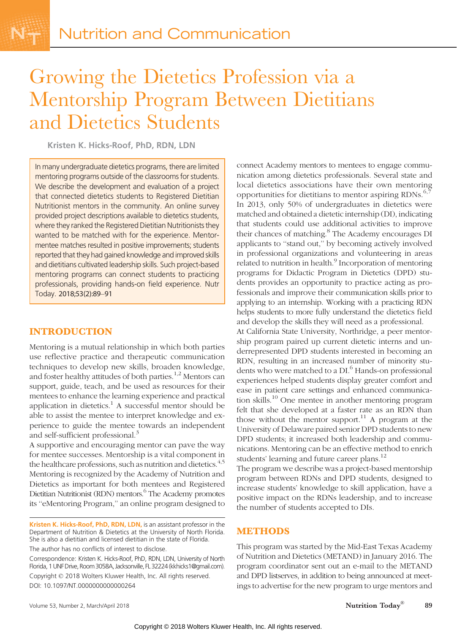# Growing the Dietetics Profession via a Mentorship Program Between Dietitians and Dietetics Students

Kristen K. Hicks-Roof, PhD, RDN, LDN

In many undergraduate dietetics programs, there are limited mentoring programs outside of the classrooms for students. We describe the development and evaluation of a project that connected dietetics students to Registered Dietitian Nutritionist mentors in the community. An online survey provided project descriptions available to dietetics students, where they ranked the Registered Dietitian Nutritionists they wanted to be matched with for the experience. Mentormentee matches resulted in positive improvements; students reported that they had gained knowledge and improved skills and dietitians cultivated leadership skills. Such project-based mentoring programs can connect students to practicing professionals, providing hands-on field experience. Nutr Today. 2018;53(2):89-91

## INTRODUCTION

Mentoring is a mutual relationship in which both parties use reflective practice and therapeutic communication techniques to develop new skills, broaden knowledge, and foster healthy attitudes of both parties.<sup>1,2</sup> Mentors can support, guide, teach, and be used as resources for their mentees to enhance the learning experience and practical application in dietetics. $<sup>1</sup>$  A successful mentor should be</sup> able to assist the mentee to interpret knowledge and experience to guide the mentee towards an independent and self-sufficient professional.<sup>3</sup>

A supportive and encouraging mentor can pave the way for mentee successes. Mentorship is a vital component in the healthcare professions, such as nutrition and dietetics.<sup>4,5</sup> Mentoring is recognized by the Academy of Nutrition and Dietetics as important for both mentees and Registered Dietitian Nutritionist (RDN) mentors.<sup>6</sup> The Academy promotes its ''eMentoring Program,'' an online program designed to

Kristen K. Hicks-Roof, PhD, RDN, LDN, is an assistant professor in the Department of Nutrition & Dietetics at the University of North Florida. She is also a dietitian and licensed dietitian in the state of Florida.

The author has no conflicts of interest to disclose.

Correspondence: Kristen K. Hicks-Roof, PhD, RDN, LDN, University of North Florida, 1UNFDrive, Room 3058A, Jacksonville, FL 32224(kkhicks1@gmail.com). Copyright @ 2018 Wolters Kluwer Health, Inc. All rights reserved. DOI: 10.1097/NT.0000000000000264

connect Academy mentors to mentees to engage communication among dietetics professionals. Several state and local dietetics associations have their own mentoring opportunities for dietitians to mentor aspiring RDNs.<sup>6,7</sup> In 2013, only 50% of undergraduates in dietetics were matched and obtained a dietetic internship (DI), indicating that students could use additional activities to improve their chances of matching.<sup>8</sup> The Academy encourages DI applicants to ''stand out,'' by becoming actively involved in professional organizations and volunteering in areas related to nutrition in health.<sup>9</sup> Incorporation of mentoring programs for Didactic Program in Dietetics (DPD) students provides an opportunity to practice acting as professionals and improve their communication skills prior to applying to an internship. Working with a practicing RDN helps students to more fully understand the dietetics field and develop the skills they will need as a professional.

At California State University, Northridge, a peer mentorship program paired up current dietetic interns and underrepresented DPD students interested in becoming an RDN, resulting in an increased number of minority students who were matched to a DI.<sup>6</sup> Hands-on professional experiences helped students display greater comfort and ease in patient care settings and enhanced communication skills.10 One mentee in another mentoring program felt that she developed at a faster rate as an RDN than those without the mentor support.<sup>11</sup> A program at the University of Delaware paired senior DPD students to new DPD students; it increased both leadership and communications. Mentoring can be an effective method to enrich students' learning and future career plans.<sup>12</sup>

The program we describe was a project-based mentorship program between RDNs and DPD students, designed to increase students' knowledge to skill application, have a positive impact on the RDNs leadership, and to increase the number of students accepted to DIs.

#### METHODS

This program was started by the Mid-East Texas Academy of Nutrition and Dietetics (METAND) in January 2016. The program coordinator sent out an e-mail to the METAND and DPD listserves, in addition to being announced at meetings to advertise for the new program to urge mentors and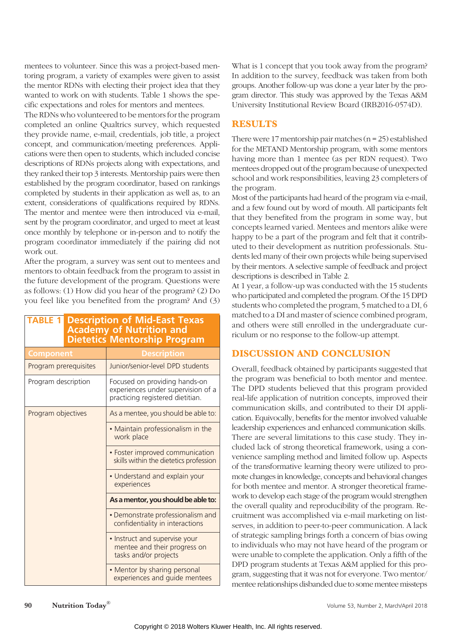mentees to volunteer. Since this was a project-based mentoring program, a variety of examples were given to assist the mentor RDNs with electing their project idea that they wanted to work on with students. Table 1 shows the specific expectations and roles for mentors and mentees.

The RDNs who volunteered to be mentors for the program completed an online Qualtrics survey, which requested they provide name, e-mail, credentials, job title, a project concept, and communication/meeting preferences. Applications were then open to students, which included concise descriptions of RDNs projects along with expectations, and they ranked their top 3 interests. Mentorship pairs were then established by the program coordinator, based on rankings completed by students in their application as well as, to an extent, considerations of qualifications required by RDNs. The mentor and mentee were then introduced via e-mail, sent by the program coordinator, and urged to meet at least once monthly by telephone or in-person and to notify the program coordinator immediately if the pairing did not work out.

After the program, a survey was sent out to mentees and mentors to obtain feedback from the program to assist in the future development of the program. Questions were as follows: (1) How did you hear of the program? (2) Do you feel like you benefited from the program? And (3)

TABLE 1 Description of Mid-East Texas

| <b>Academy of Nutrition and</b><br><b>Dietetics Mentorship Program</b> |                                                                                                         |
|------------------------------------------------------------------------|---------------------------------------------------------------------------------------------------------|
| Component                                                              | <b>Description</b>                                                                                      |
| Program prerequisites                                                  | Junior/senior-level DPD students                                                                        |
| Program description                                                    | Focused on providing hands-on<br>experiences under supervision of a<br>practicing registered dietitian. |
| Program objectives                                                     | As a mentee, you should be able to:                                                                     |
|                                                                        | • Maintain professionalism in the<br>work place                                                         |
|                                                                        | • Foster improved communication<br>skills within the dietetics profession                               |
|                                                                        | • Understand and explain your<br>experiences                                                            |
|                                                                        | As a mentor, you should be able to:                                                                     |
|                                                                        | • Demonstrate professionalism and<br>confidentiality in interactions                                    |
|                                                                        | • Instruct and supervise your<br>mentee and their progress on<br>tasks and/or projects                  |
|                                                                        | • Mentor by sharing personal<br>experiences and guide mentees                                           |

### What is 1 concept that you took away from the program? In addition to the survey, feedback was taken from both groups. Another follow-up was done a year later by the program director. This study was approved by the Texas A&M University Institutional Review Board (IRB2016-0574D).

## RESULTS

There were 17 mentorship pair matches ( $n=25$ ) established for the METAND Mentorship program, with some mentors having more than 1 mentee (as per RDN request). Two mentees dropped out of the program because of unexpected school and work responsibilities, leaving 23 completers of the program.

Most of the participants had heard of the program via e-mail, and a few found out by word of mouth. All participants felt that they benefited from the program in some way, but concepts learned varied. Mentees and mentors alike were happy to be a part of the program and felt that it contributed to their development as nutrition professionals. Students led many of their own projects while being supervised by their mentors. A selective sample of feedback and project descriptions is described in Table 2.

At 1 year, a follow-up was conducted with the 15 students who participated and completed the program. Of the 15 DPD studentswho completed the program, 5 matched to a DI, 6 matched to a DI and master of science combined program, and others were still enrolled in the undergraduate curriculum or no response to the follow-up attempt.

## DISCUSSION AND CONCLUSION

Overall, feedback obtained by participants suggested that the program was beneficial to both mentor and mentee. The DPD students believed that this program provided real-life application of nutrition concepts, improved their communication skills, and contributed to their DI application. Equivocally, benefits for the mentor involved valuable leadership experiences and enhanced communication skills. There are several limitations to this case study. They included lack of strong theoretical framework, using a convenience sampling method and limited follow up. Aspects of the transformative learning theory were utilized to promote changes in knowledge, concepts and behavioral changes for both mentee and mentor. A stronger theoretical framework to develop each stage of the program would strengthen the overall quality and reproducibility of the program. Recruitment was accomplished via e-mail marketing on listserves, in addition to peer-to-peer communication. A lack of strategic sampling brings forth a concern of bias owing to individuals who may not have heard of the program or were unable to complete the application. Only a fifth of the DPD program students at Texas A&M applied for this program, suggesting that it was not for everyone. Two mentor/ mentee relationships disbanded due to some mentee missteps